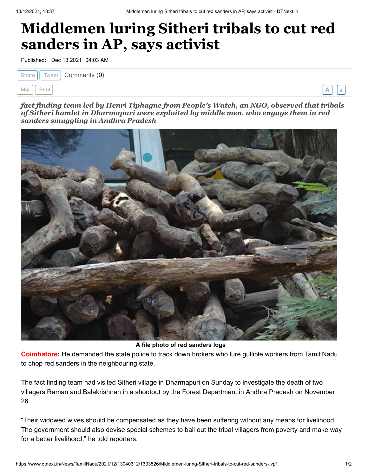## **Middlemen luring Sitheri tribals to cut red sanders in AP, says activist**

Published: Dec 13,2021 04:03 AM

| Share $\int$ Tweet <b>Comments (0)</b> |  |
|----------------------------------------|--|
| Mail Print                             |  |

*fact finding team led by Henri Tiphagne from People's Watch, an NGO, observed that tribals of Sitheri hamlet in Dharmapuri were exploited by middle men, who engage them in red sanders smuggling in Andhra Pradesh*



**A file photo of red sanders logs**

**Coimbatore:** He demanded the state police to track down brokers who lure gullible workers from Tamil Nadu to chop red sanders in the neighbouring state.

The fact finding team had visited Sitheri village in Dharmapuri on Sunday to investigate the death of two villagers Raman and Balakrishnan in a shootout by the Forest Department in Andhra Pradesh on November 26.

"Their widowed wives should be compensated as they have been suffering without any means for livelihood. The government should also devise special schemes to bail out the tribal villagers from poverty and make way for a better livelihood," he told reporters.